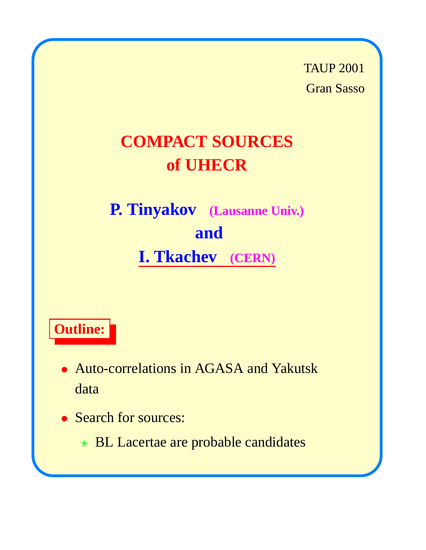TAUP 2001 Gran Sasso

# **COMPACT SOURCES of UHECR**

**P. Tinyakov (Lausanne Univ.) and I. Tkachev (CERN)**

# **Outline:**

- Auto-correlations in AGASA and Yakutsk data
- Search for sources:
	- $\star$  BL Lacertae are probable candidates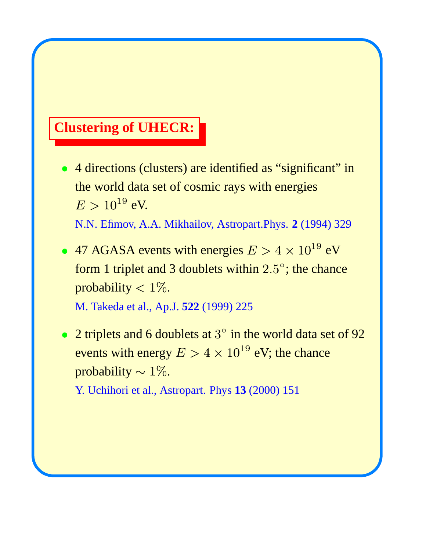#### **Clustering of UHECR:**

• 4 directions (clusters) are identified as "significant" in the world data set of cosmic rays with energies  $^{19}$  eV.

N.N. Efimov, A.A. Mikhailov, Astropart.Phys. **2** (1994) 329

- 47 AGASA events with energies  $E > 4 \times 10^{19}$  eV form 1 triplet and 3 doublets within  $2.5^{\circ}$ ; the chance probability  $< 1\%$ . M. Takeda et al., Ap.J. **522** (1999) 225
- 2 triplets and 6 doublets at  $3^\circ$  in the world data set of 92 events with energy  $E>4\times 10^{19}$  eV; the chance probability  $\sim 1\%$ .

Y. Uchihori et al., Astropart. Phys **13** (2000) 151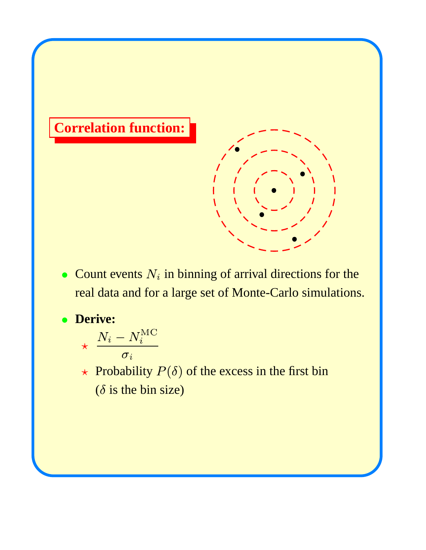

• Count events  $N_i$  in binning of arrival directions for the real data and for a large set of Monte-Carlo simulations.

**Derive:**

$$
\frac{N_i-N_i^{\rm MC}}{\sigma_i}
$$

 $\star$  Probability  $P(\delta)$  of the excess in the first bin ( $\delta$  is the bin size)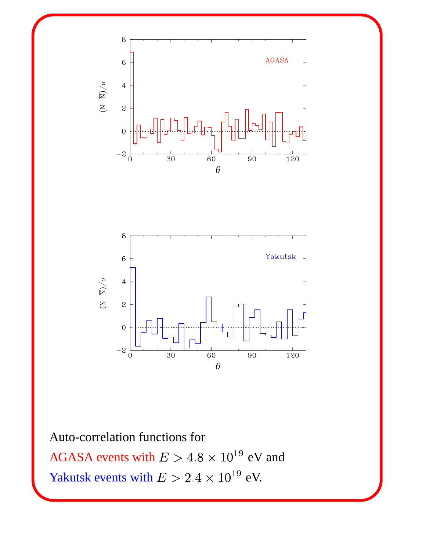



Auto-correlation functions for

AGASA events with  $E > 4.8 \times 10^{19}$  eV and Yakutsk events with  $E > 2.4 \times 10^{19}$  eV.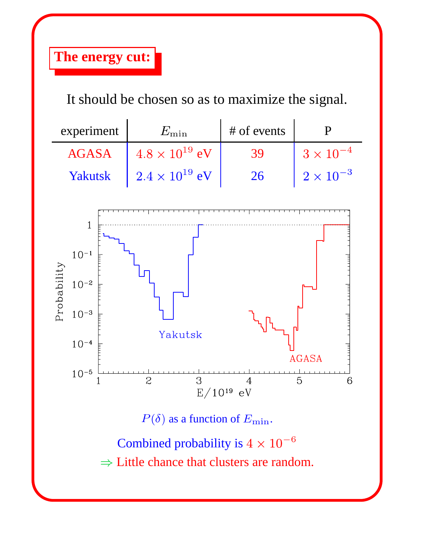## **The energy cut:**

It should be chosen so as to maximize the signal.

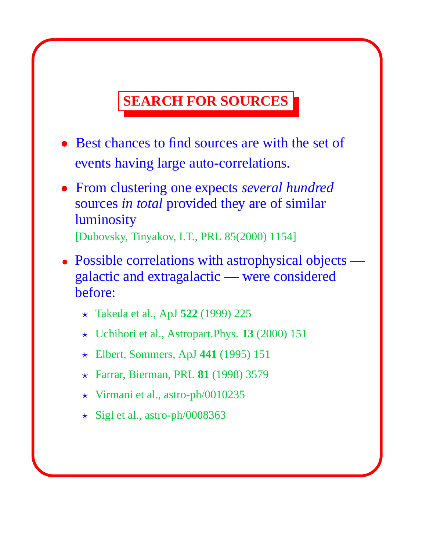## **SEARCH FOR SOURCES**

- Best chances to find sources are with the set of events having large auto-correlations.
- From clustering one expects *several hundred* sources *in total* provided they are of similar luminosity [Dubovsky, Tinyakov, I.T., PRL 85(2000) 1154]
- Possible correlations with astrophysical objects galactic and extragalactic — were considered before:
	- Takeda et al., ApJ **522** (1999) 225
	- Uchihori et al., Astropart.Phys. **13** (2000) 151
	- Elbert, Sommers, ApJ **441** (1995) 151
	- Farrar, Bierman, PRL **81** (1998) 3579
	- $\star$  Virmani et al., astro-ph/0010235
	- $\star$  Sigl et al., astro-ph/0008363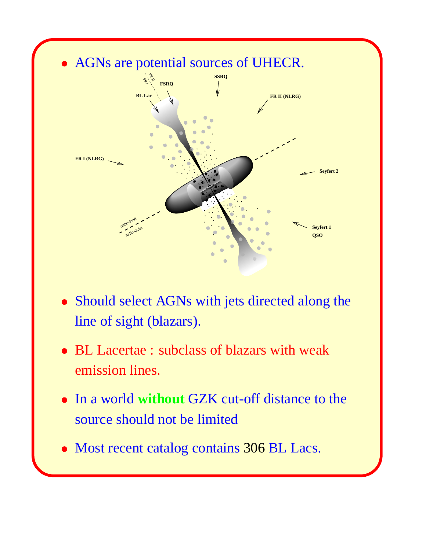

- Should select AGNs with jets directed along the line of sight (blazars).
- BL Lacertae : subclass of blazars with weak emission lines.
- In a world **without** GZK cut-off distance to the source should not be limited
- Most recent catalog contains 306 BL Lacs.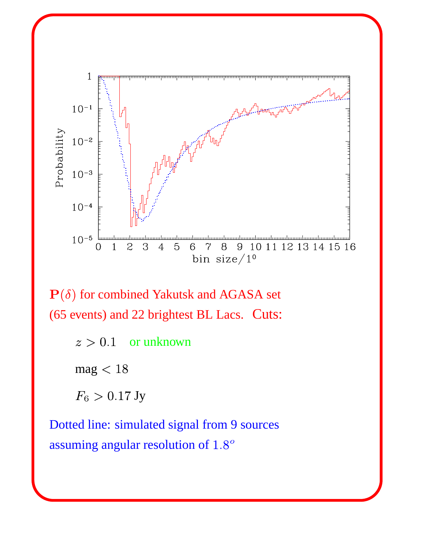

 $P(\delta)$  for combined Yakutsk and AGASA set (65 events) and 22 brightest BL Lacs. Cuts:

> $z > 0.1$ or unknown

 $mag < 18$ 

 $F_6 > 0.17$  Jy

Dotted line: simulated signal from 9 sources assuming angular resolution of 1.8°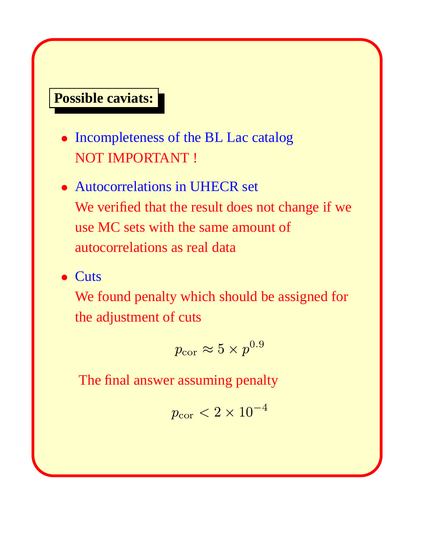#### **Possible caviats:**

- Incompleteness of the BL Lac catalog NOT IMPORTANT !
- Autocorrelations in UHECR set We verified that the result does not change if we use MC sets with the same amount of autocorrelations as real data
- Cuts

We found penalty which should be assigned for the adjustment of cuts

$$
p_{\rm cor} \approx 5 \times p^{0.9}
$$

The final answer assuming penalty

$$
p_{\rm cor}<2\times10^{-4}
$$